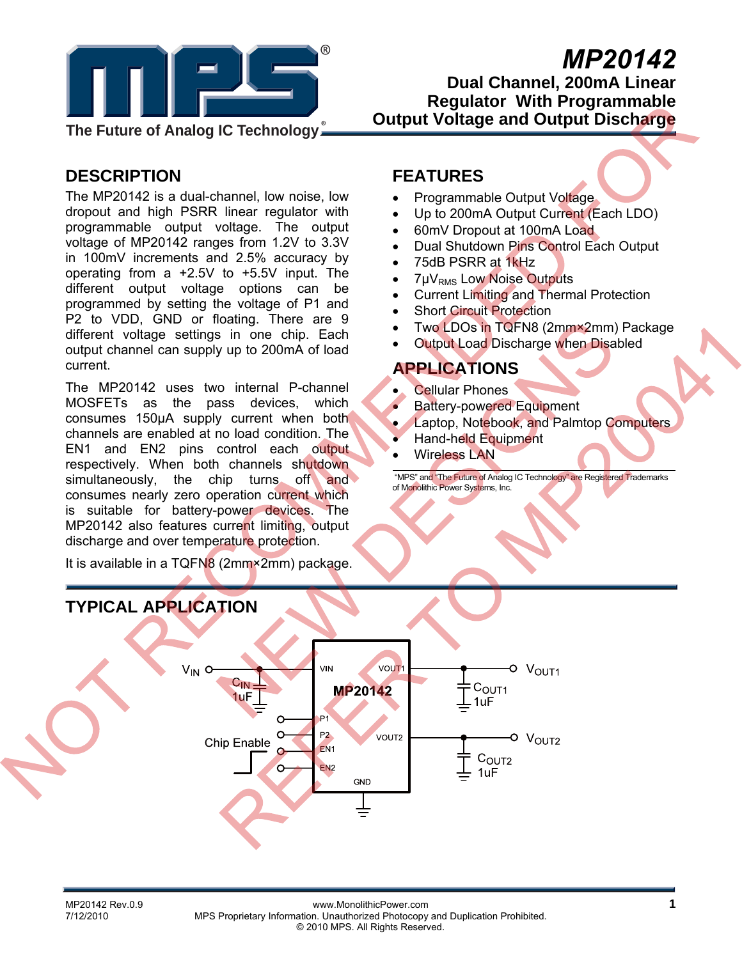

# *MP20142*

**Dual Channel, 200mA Linear Regulator With Programmable Output Voltage and Output Discharge** 

# **DESCRIPTION**

The MP20142 is a dual-channel, low noise, low dropout and high PSRR linear regulator with programmable output voltage. The output voltage of MP20142 ranges from 1.2V to 3.3V in 100mV increments and 2.5% accuracy by operating from a +2.5V to +5.5V input. The different output voltage options can be programmed by setting the voltage of P1 and P2 to VDD, GND or floating. There are 9 different voltage settings in one chip. Each output channel can supply up to 200mA of load current.

The MP20142 uses two internal P-channel MOSFETs as the pass devices, which consumes 150µA supply current when both channels are enabled at no load condition. The EN1 and EN2 pins control each output respectively. When both channels shutdown simultaneously, the chip turns of and consumes nearly zero operation current which is suitable for battery-power devices. The MP20142 also features current limiting, output discharge and over temperature protection.

It is available in a TQFN8 (2mm×2mm) package.

### **FEATURES**

- Programmable Output Voltage
- Up to 200mA Output Current (Each LDO)
- 60mV Dropout at 100mA Load
- Dual Shutdown Pins Control Each Output
- 75dB PSRR at 1kHz
- 7µV<sub>RMS</sub> Low Noise Outputs
- Current Limiting and Thermal Protection
- Short Circuit Protection
- Two LDOs in TQFN8 (2mm×2mm) Package
- **Output Load Discharge when Disabled**

### **APPLICATIONS**

- **Cellular Phones**
- Battery-powered Equipment
- Laptop, Notebook, and Palmtop Computers
- Hand-held Equipment
- Wireless LAN

 "MPS" and "The Future of Analog IC Technology" are Registered Trademarks of Monolithic Power Systems, Inc.

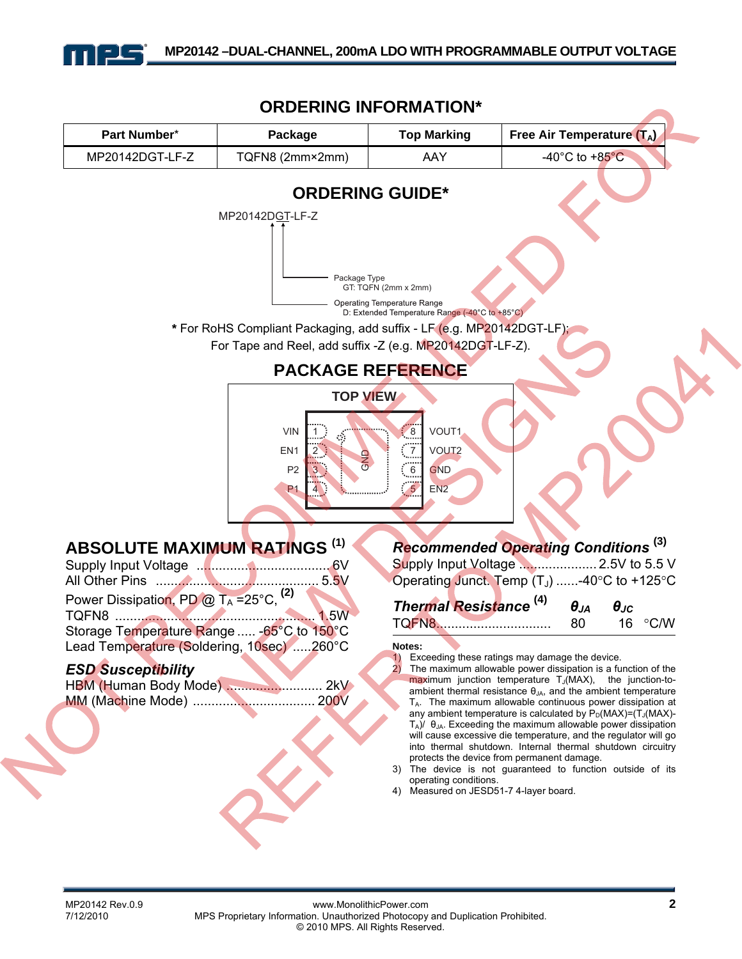

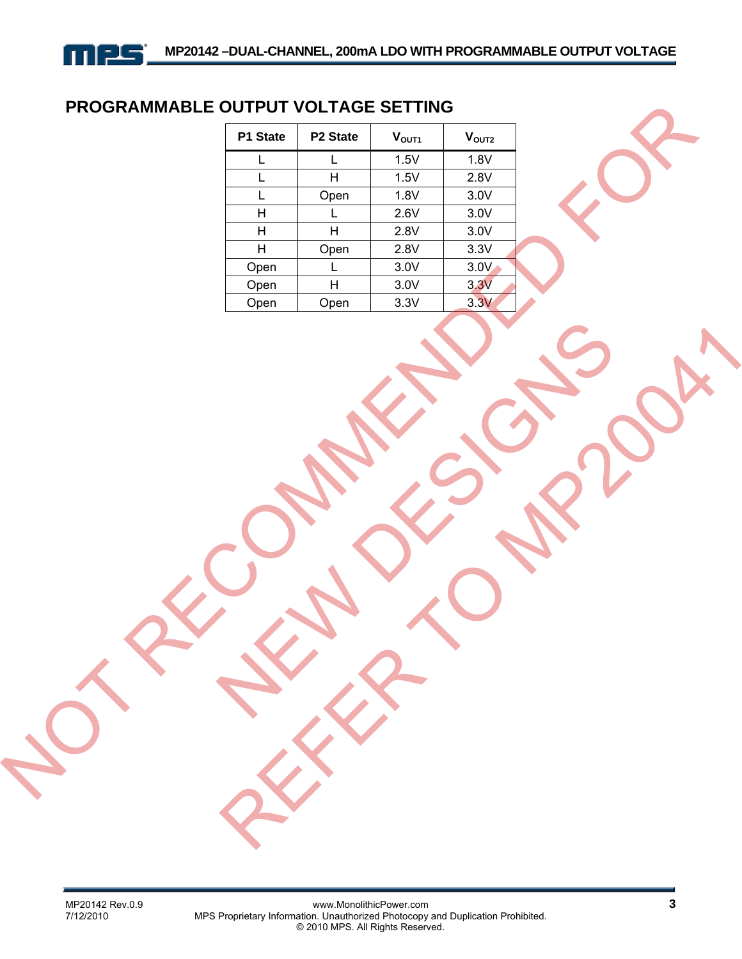# **PROGRAMMABLE OUTPUT VOLTAGE SETTING**

| P1 State | P2 State | $\mathsf{V}_{\mathsf{OUT1}}$ | $V_{\text{OUT2}}$ |  |
|----------|----------|------------------------------|-------------------|--|
|          |          | 1.5V                         | 1.8V              |  |
| L        | н        | 1.5V                         | 2.8V              |  |
|          | Open     | 1.8V                         | 3.0V              |  |
| Η        |          | 2.6V                         | 3.0V              |  |
| н        | н        | 2.8V                         | 3.0V              |  |
| Н        | Open     | 2.8V                         | 3.3V              |  |
| Open     |          | 3.0V                         | 3.0V              |  |
| Open     | н        | 3.0V                         | 3.3V              |  |
| Open     | Open     | 3.3V                         | 3.3V              |  |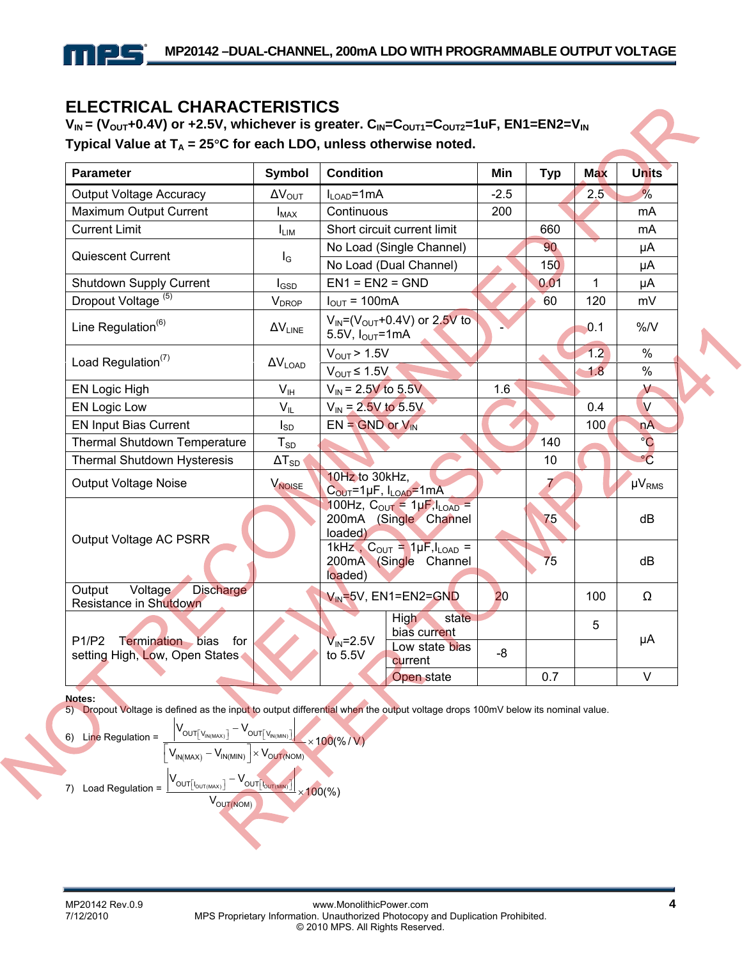### **ELECTRICAL CHARACTERISTICS**

 $V_{IN}$  = (V<sub>OUT</sub>+0.4V) or +2.5V, whichever is greater. C<sub>IN</sub>=C<sub>OUT1</sub>=C<sub>OUT2</sub>=1uF, EN1=EN2=V<sub>IN</sub> Typical Value at  $T_A = 25^{\circ}C$  for each LDO, unless otherwise noted.

| <b>Parameter</b>                                                             | <b>Symbol</b>            | <b>Condition</b>                                                             | Min    | <b>Typ</b> | <b>Max</b>    | <b>Units</b>  |
|------------------------------------------------------------------------------|--------------------------|------------------------------------------------------------------------------|--------|------------|---------------|---------------|
| <b>Output Voltage Accuracy</b>                                               | $\Delta V_{\text{OUT}}$  | $I_{LOAD} = 1 mA$                                                            | $-2.5$ |            | $2.5^{\circ}$ | $\frac{9}{6}$ |
| Maximum Output Current                                                       | $I_{MAX}$                | Continuous                                                                   | 200    |            |               | mA            |
| <b>Current Limit</b>                                                         | <b>I</b> LIM             | Short circuit current limit                                                  |        | 660        |               | mA            |
| <b>Quiescent Current</b>                                                     | $I_{\rm G}$              | No Load (Single Channel)                                                     |        | 90         |               | μA            |
|                                                                              |                          | No Load (Dual Channel)                                                       |        | 150        |               | μA            |
| Shutdown Supply Current                                                      | $I_{\text{GSD}}$         | $EN1 = EN2 = GND$                                                            |        | 0.01       | $\mathbf{1}$  | μA            |
| Dropout Voltage <sup>(5)</sup>                                               | <b>V</b> <sub>DROP</sub> | $I_{\text{OUT}} = 100 \text{mA}$                                             |        | 60         | 120           | mV            |
| Line Regulation $^{(6)}$                                                     | $\Delta V_{LINE}$        | $V_{\text{IN}} = (V_{\text{OUT}} + 0.4V)$ or 2.5V to<br>5.5V, $I_{OUT}$ =1mA |        |            | 0.1           | %N            |
| Load Regulation $(7)$                                                        |                          | $V_{\text{OUT}}$ > 1.5V                                                      |        |            | 1.2           | %             |
|                                                                              | $\Delta V_{\text{LOAD}}$ | $V_{OUT} \le 1.5V$                                                           |        |            | 1.8           | %             |
| <b>EN Logic High</b>                                                         | V <sub>IH</sub>          | $V_{\text{IN}}$ = 2.5V to 5.5V                                               | 1.6    |            |               | $\vee$        |
| <b>EN Logic Low</b>                                                          | $V_{IL}$                 | $V_{IN}$ = 2.5V to 5.5V                                                      |        |            | 0.4           | V             |
| <b>EN Input Bias Current</b>                                                 | $I_{SD}$                 | $EN = GND$ or $V_{IN}$                                                       |        |            | 100           | nA            |
| <b>Thermal Shutdown Temperature</b>                                          | $T_{SD}$                 |                                                                              |        | 140        |               | $^{\circ}C$   |
| <b>Thermal Shutdown Hysteresis</b>                                           | $\Delta T_{SD}$          |                                                                              |        | 10         |               | $\circ$ C     |
| <b>Output Voltage Noise</b>                                                  | V <sub>NOISE</sub>       | 10Hz to 30kHz,<br>C <sub>OUT</sub> =1µF, I <sub>LOAD</sub> =1mA              |        |            |               | $\mu V_{RMS}$ |
|                                                                              |                          | 100Hz, $C_{OUT} = 1 \mu F$ , $I_{LOAD} =$<br>200mA (Single Channel           |        | 75         |               | dB            |
| Output Voltage AC PSRR                                                       |                          | loaded)                                                                      |        |            |               |               |
|                                                                              |                          | 1kHz, $C_{OUT} = 1\mu F, I_{LOAD}$ =<br>200mA (Single Channel<br>loaded)     |        | 75         |               | dB            |
| <b>Discharge</b><br>Voltage<br>Output                                        |                          | $V_{IN}$ =5V, EN1=EN2=GND                                                    | 20     |            | 100           | Ω             |
| Resistance in Shutdown                                                       |                          |                                                                              |        |            |               |               |
|                                                                              |                          | High<br>state<br>bias current                                                |        |            | 5             |               |
| <b>Termination</b><br>P1/P2<br>bias<br>for<br>setting High, Low, Open States |                          | $V_{IN} = 2.5V$<br>Low state bias<br>to 5.5V<br>current                      | -8     |            |               | μA            |
|                                                                              |                          | Open state                                                                   |        | 0.7        |               | $\vee$        |

#### **Notes:**

5) Dropout Voltage is defined as the input to output differential when the output voltage drops 100mV below its nominal value.  $\mathbf{I}$ 

6) Line Regulation =

\n
$$
\frac{\left|V_{OUT[v_{IN(MAX)}]} - V_{OUT[v_{IN(MIN)]}}\right|}{\left[V_{IN(MAX)} - V_{IN(MIN)}\right] \times V_{OUT(NOM))} \times 100(\% / V)} \times 100(\% / V)
$$
\n7) Load Regulation =

\n
$$
\frac{\left|V_{OUT[v_{OUT(MAX)}]} - V_{OUT[v_{OUT(MIN)]}}\right|}{V_{OUT(NOM)}} \times 100(\%)}
$$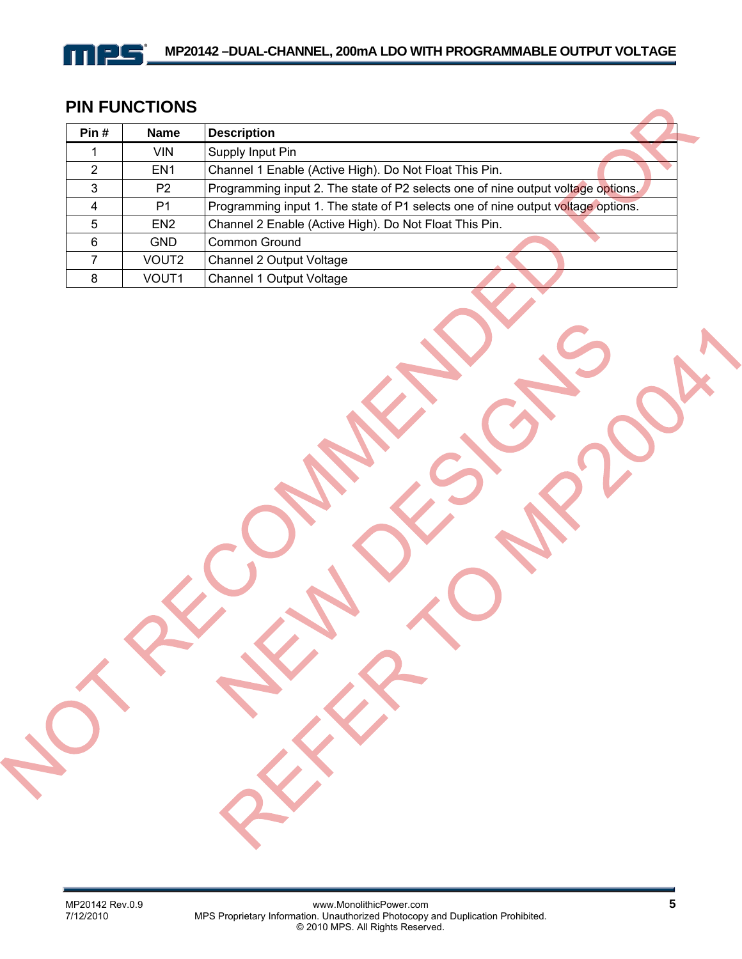## **PIN FUNCTIONS**

mes

| Pin# | <b>Name</b>       | <b>Description</b>                                                               |
|------|-------------------|----------------------------------------------------------------------------------|
|      | VIN.              | Supply Input Pin                                                                 |
| 2    | EN <sub>1</sub>   | Channel 1 Enable (Active High). Do Not Float This Pin.                           |
| 3    | P <sub>2</sub>    | Programming input 2. The state of P2 selects one of nine output voltage options. |
| 4    | P1                | Programming input 1. The state of P1 selects one of nine output voltage options. |
| 5    | EN <sub>2</sub>   | Channel 2 Enable (Active High). Do Not Float This Pin.                           |
| 6    | <b>GND</b>        | Common Ground                                                                    |
|      | VOUT <sub>2</sub> | Channel 2 Output Voltage                                                         |
| 8    | VOUT <sub>1</sub> | Channel 1 Output Voltage                                                         |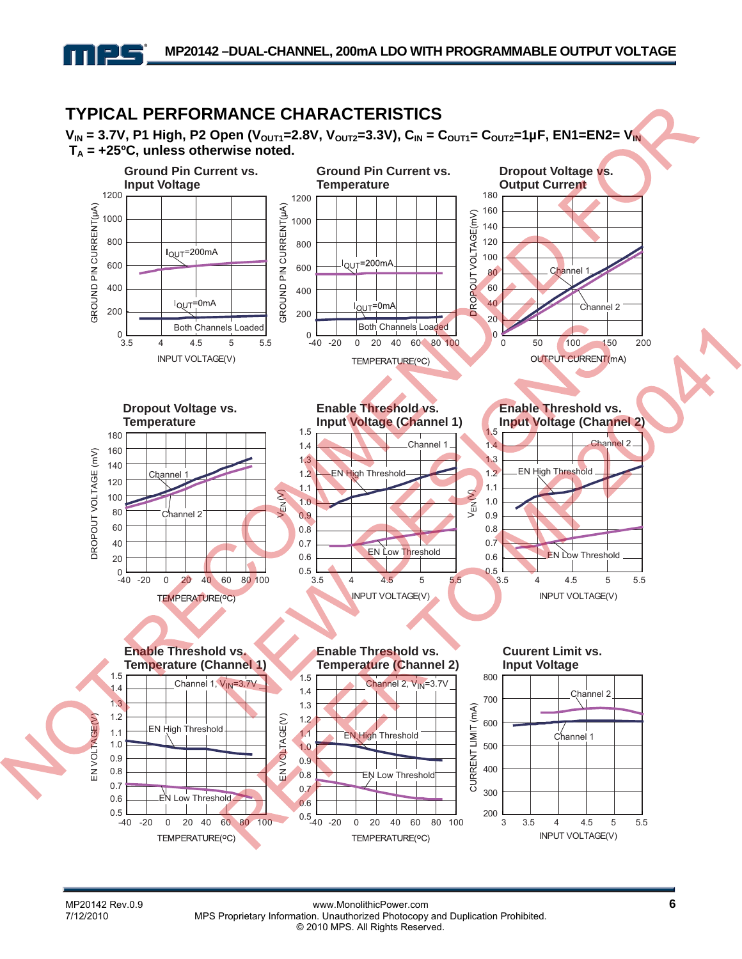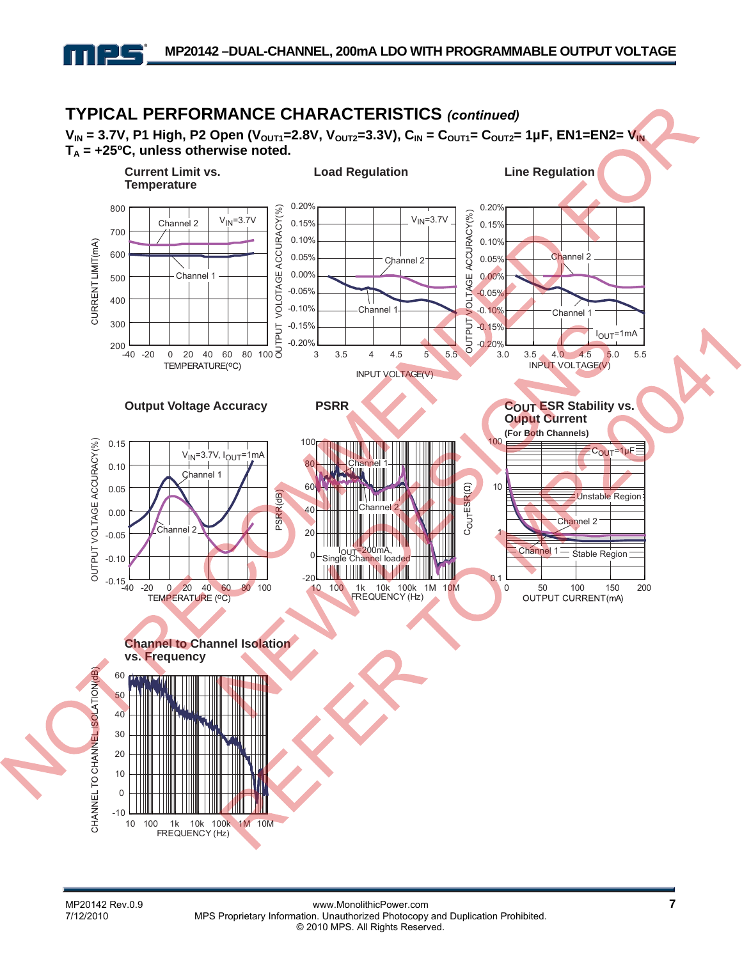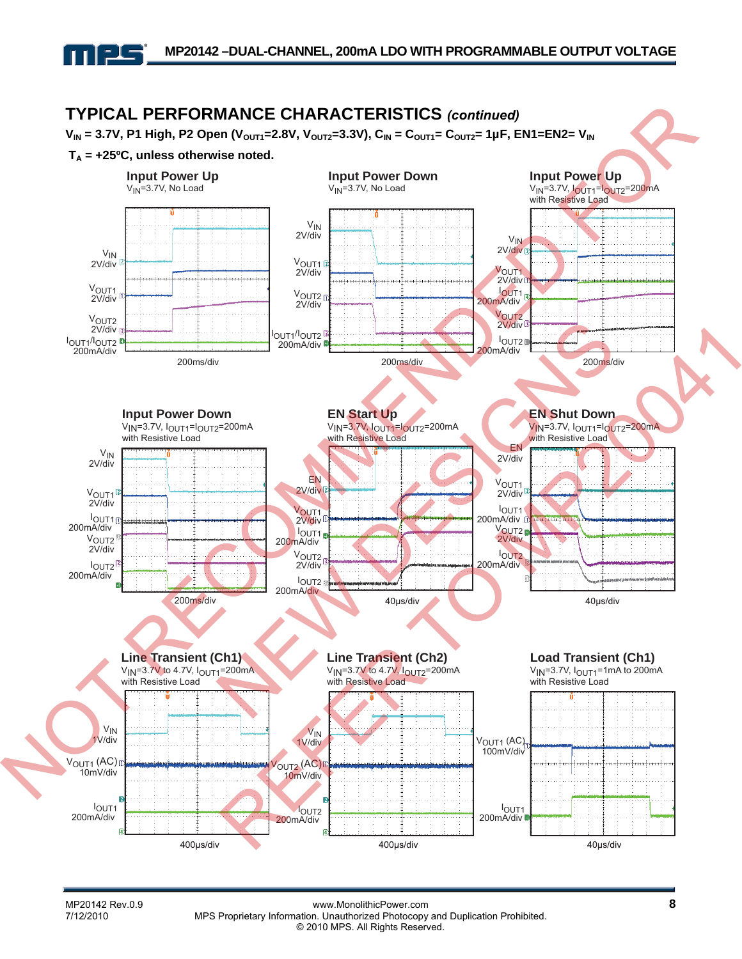

MP20142 Rev.0.9 **8**<br>T/12/2010 **MPS Proprietary Information. Unauthorized Photocopy and Duplication Prohibited.** MPS Proprietary Information. Unauthorized Photocopy and Duplication Prohibited. © 2010 MPS. All Rights Reserved.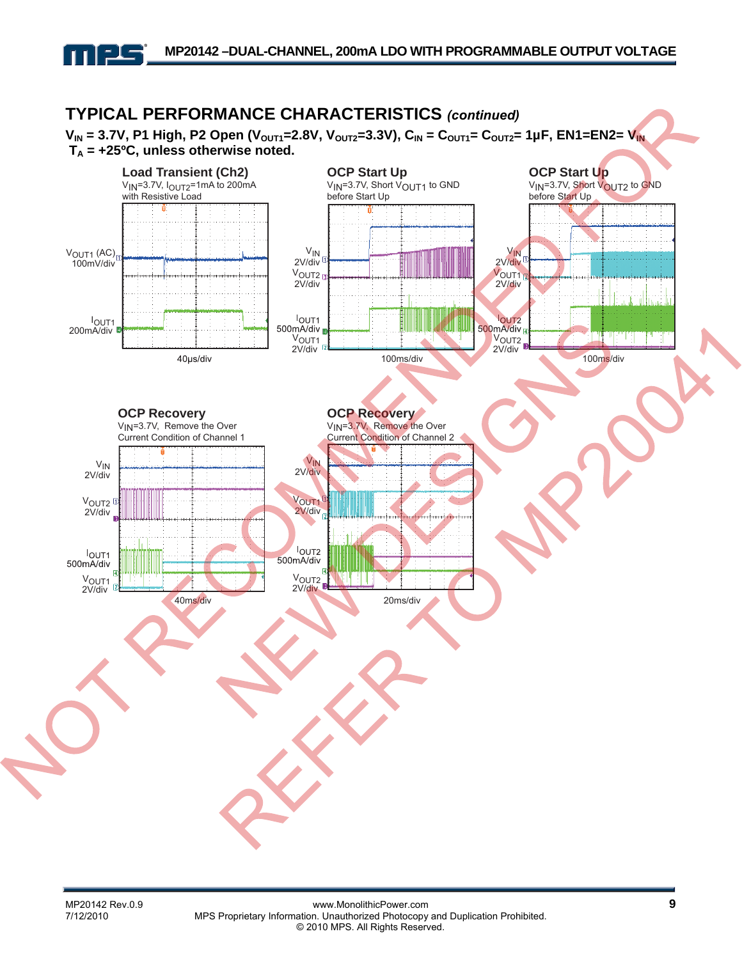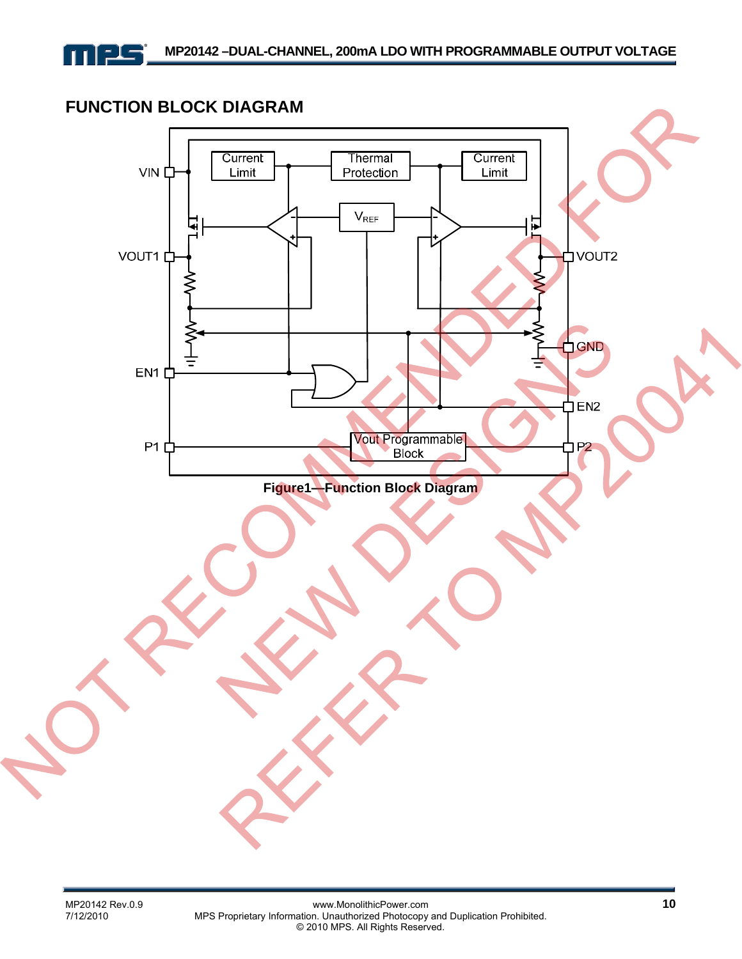

### **FUNCTION BLOCK DIAGRAM**

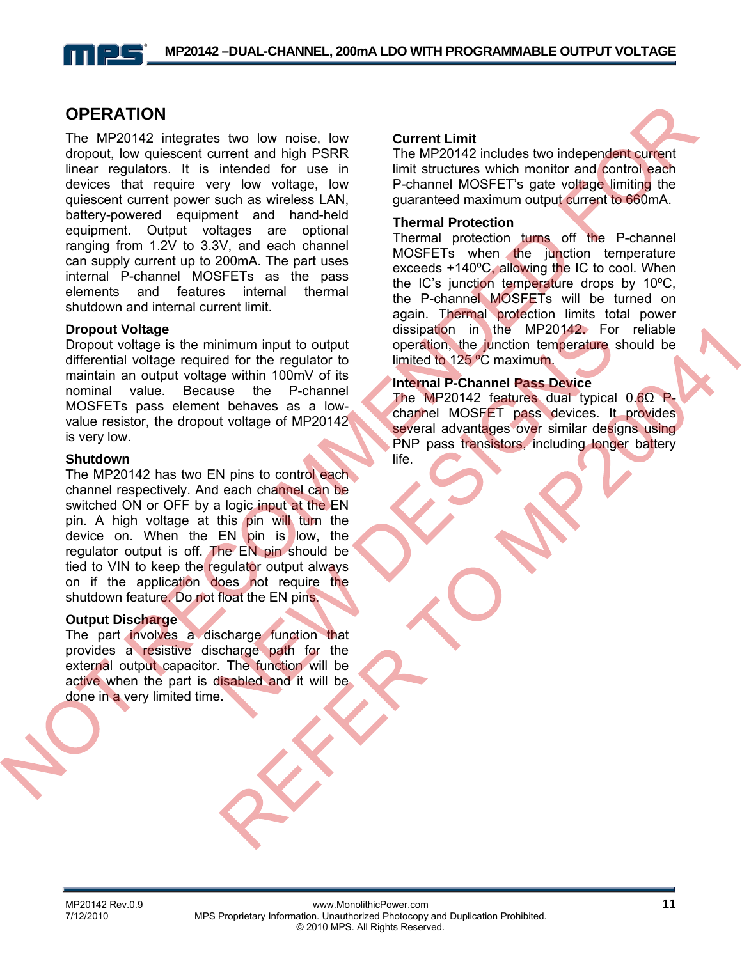### **OPERATION**

The MP20142 integrates two low noise, low dropout, low quiescent current and high PSRR linear regulators. It is intended for use in devices that require very low voltage, low quiescent current power such as wireless LAN, battery-powered equipment and hand-held equipment. Output voltages are optional ranging from 1.2V to 3.3V, and each channel can supply current up to 200mA. The part uses internal P-channel MOSFETs as the pass elements and features internal thermal shutdown and internal current limit.

#### **Dropout Voltage**

Dropout voltage is the minimum input to output differential voltage required for the regulator to maintain an output voltage within 100mV of its nominal value. Because the P-channel MOSFETs pass element behaves as a lowvalue resistor, the dropout voltage of MP20142 is very low.

### **Shutdown**

The MP20142 has two EN pins to control each channel respectively. And each channel can be switched ON or OFF by a logic input at the EN pin. A high voltage at this pin will turn the device on. When the EN pin is low, the regulator output is off. The EN pin should be tied to VIN to keep the regulator output always on if the application does not require the shutdown feature. Do not float the EN pins.

### **Output Discharge**

The part involves a discharge function that provides a resistive discharge path for the external output capacitor. The function will be active when the part is disabled and it will be done in a very limited time.

#### **Current Limit**

The MP20142 includes two independent current limit structures which monitor and control each P-channel MOSFET's gate voltage limiting the guaranteed maximum output current to 660mA.

#### **Thermal Protection**

Thermal protection turns off the P-channel MOSFETs when the junction temperature exceeds +140°C, allowing the IC to cool. When the IC's junction temperature drops by 10ºC, the P-channel MOSFETs will be turned on again. Thermal protection limits total power dissipation in the MP20142. For reliable operation, the junction temperature should be limited to 125 ºC maximum.

### **Internal P-Channel Pass Device**

The MP20142 features dual typical 0.6Ω Pchannel MOSFET pass devices. It provides several advantages over similar designs using PNP pass transistors, including longer battery life.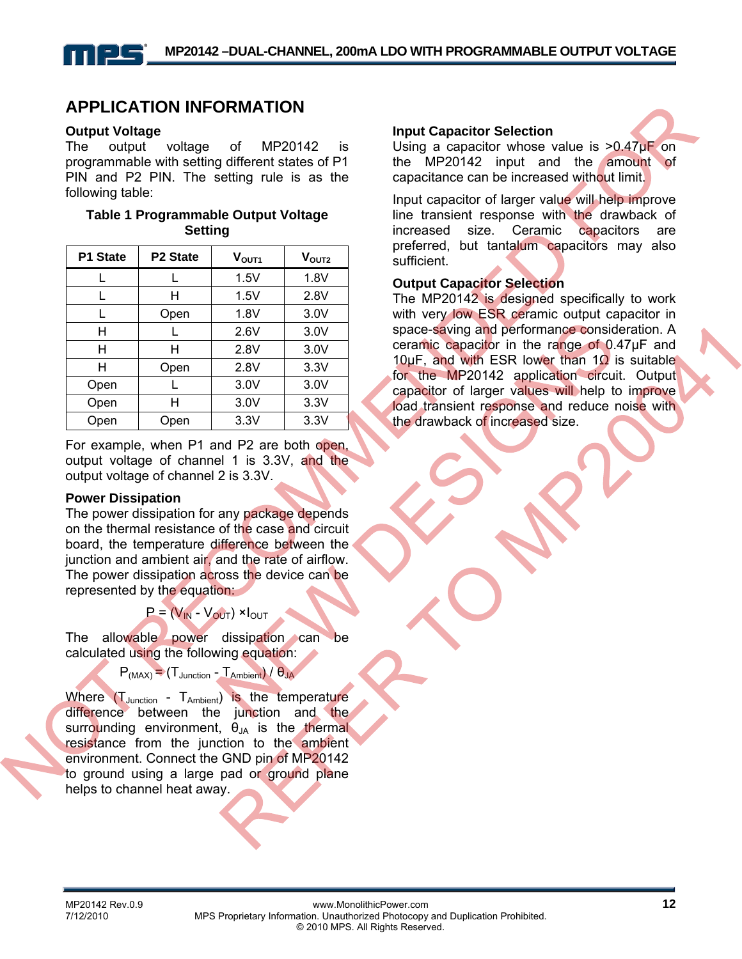### **APPLICATION INFORMATION**

#### **Output Voltage**

The output voltage of MP20142 is programmable with setting different states of P1 PIN and P2 PIN. The setting rule is as the following table:

#### **Table 1 Programmable Output Voltage Setting**

| P1 State | P2 State | V <sub>OUT1</sub> | V <sub>OUT2</sub> |
|----------|----------|-------------------|-------------------|
|          |          | 1.5V              | 1.8V              |
| L        | н        | 1.5V              | 2.8V              |
|          | Open     | 1.8V              | 3.0V              |
| н        |          | 2.6V              | 3.0V              |
| н        | н        | 2.8V              | 3.0V              |
| н        | Open     | 2.8V              | 3.3V              |
| Open     |          | 3.0V              | 3.0V              |
| Open     | н        | 3.0V              | 3.3V              |
| Open     | Open     | 3.3V              | 3.3V              |

For example, when P1 and P2 are both open, output voltage of channel 1 is 3.3V, and the output voltage of channel 2 is 3.3V.

#### **Power Dissipation**

The power dissipation for any package depends on the thermal resistance of the case and circuit board, the temperature difference between the junction and ambient air, and the rate of airflow. The power dissipation across the device can be represented by the equation:

 $P = (V_{IN} - V_{OUT}) \times I_{OUT}$ 

The allowable power dissipation can be calculated using the following equation:

 $P_{(MAX)} = (T_{\text{Junction}} - T_{\text{Ambient}})/\theta_{\text{JA}}$ 

Where  $(T_{\text{Junction}} - T_{\text{Ambient}})$  is the temperature difference between the junction and the surrounding environment,  $\theta_{JA}$  is the thermal resistance from the junction to the ambient environment. Connect the GND pin of MP20142 to ground using a large pad or ground plane helps to channel heat away.

#### **Input Capacitor Selection**

Using a capacitor whose value is  $>0.47\mu$ F on the MP20142 input and the amount of capacitance can be increased without limit.

Input capacitor of larger value will help improve line transient response with the drawback of increased size. Ceramic capacitors are preferred, but tantalum capacitors may also sufficient.

#### **Output Capacitor Selection**

The MP20142 is designed specifically to work with very low ESR ceramic output capacitor in space-saving and performance consideration. A ceramic capacitor in the range of 0.47µF and 10µF, and with ESR lower than 1 $\Omega$  is suitable for the MP20142 application circuit. Output capacitor of larger values will help to improve load transient response and reduce noise with the drawback of increased size.